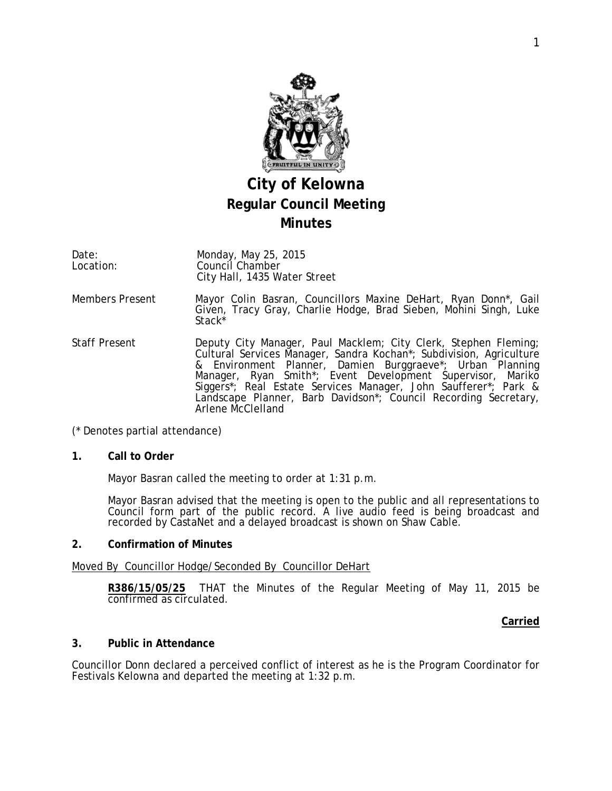

# **City of Kelowna Regular Council Meeting Minutes**

Date: Location: Monday, May 25, 2015 Council Chamber City Hall, 1435 Water Street

- Members Present Mayor Colin Basran, Councillors Maxine DeHart, Ryan Donn\*, Gail Given, Tracy Gray, Charlie Hodge, Brad Sieben, Mohini Singh, Luke Stack\*
- Staff Present **Deputy City Manager, Paul Macklem**; City Clerk, Stephen Fleming; Cultural Services Manager, Sandra Kochan\*; Subdivision, Agriculture & Environment Planner, Damien Burggraeve\*; Urban Planning Manager, Ryan Smith\*; Event Development Supervisor, Mariko Siggers\*; Real Estate Services Manager, John Saufferer\*; Park & Landscape Planner, Barb Davidson\*; Council Recording Secretary, Arlene McClelland

### (\* Denotes partial attendance)

#### **1. Call to Order**

Mayor Basran called the meeting to order at 1:31 p.m.

Mayor Basran advised that the meeting is open to the public and all representations to Council form part of the public record. A live audio feed is being broadcast and recorded by CastaNet and a delayed broadcast is shown on Shaw Cable.

#### **2. Confirmation of Minutes**

### Moved By Councillor Hodge/Seconded By Councillor DeHart

**R386/15/05/25** THAT the Minutes of the Regular Meeting of May 11, 2015 be confirmed as circulated.

### **Carried**

### **3. Public in Attendance**

Councillor Donn declared a perceived conflict of interest as he is the Program Coordinator for Festivals Kelowna and departed the meeting at 1:32 p.m.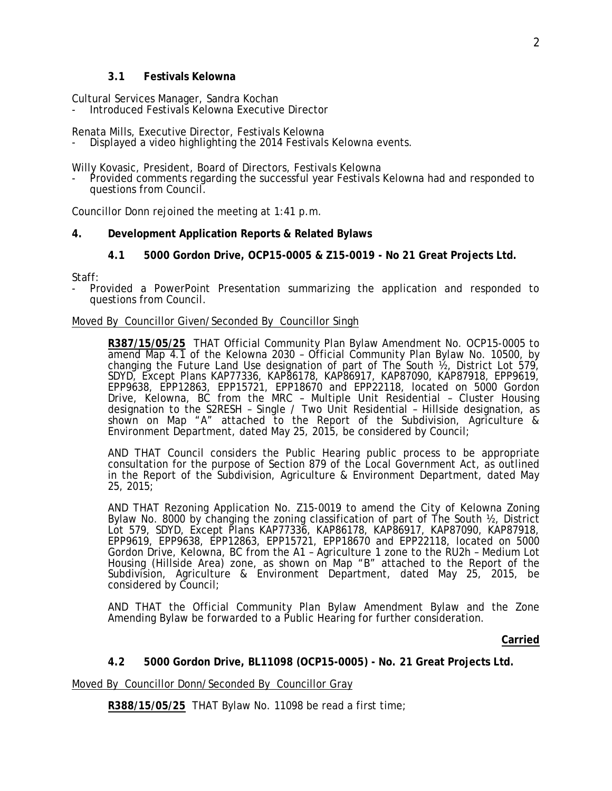#### **3.1 Festivals Kelowna**

Cultural Services Manager, Sandra Kochan

- Introduced Festivals Kelowna Executive Director

Renata Mills, Executive Director, Festivals Kelowna

Displayed a video highlighting the 2014 Festivals Kelowna events.

Willy Kovasic, President, Board of Directors, Festivals Kelowna<br>- Provided comments regarding the successful year Festivals Kelowna had and responded to questions from Council.

Councillor Donn rejoined the meeting at 1:41 p.m.

### **4. Development Application Reports & Related Bylaws**

**4.1 5000 Gordon Drive, OCP15-0005 & Z15-0019 - No 21 Great Projects Ltd.**

Staff:

- Provided a PowerPoint Presentation summarizing the application and responded to questions from Council.

#### Moved By Councillor Given/Seconded By Councillor Singh

**R387/15/05/25** THAT Official Community Plan Bylaw Amendment No. OCP15-0005 to amend Map 4.1 of the Kelowna 2030 – Official Community Plan Bylaw No. 10500, by changing the Future Land Use designation of part of The South  $\frac{1}{2}$ , District Lot 579, SDYD, Except Plans KAP77336, KAP86178, KAP86917, KAP87090, KAP87918, EPP9619, EPP9638, EPP12863, EPP15721, EPP18670 and EPP22118, located on 5000 Gordon Drive, Kelowna, BC from the MRC – Multiple Unit Residential – Cluster Housing designation to the S2RESH – Single / Two Unit Residential – Hillside designation, as shown on Map "A" attached to the Report of the Subdivision, Agriculture & Environment Department, dated May 25, 2015, be considered by Council;

AND THAT Council considers the Public Hearing public process to be appropriate consultation for the purpose of Section 879 of the Local Government Act, as outlined in the Report of the Subdivision, Agriculture & Environment Department, dated May 25, 2015;

AND THAT Rezoning Application No. Z15-0019 to amend the City of Kelowna Zoning Bylaw No. 8000 by changing the zoning classification of part of The South ½, District Lot 579, SDYD, Except Plans KAP77336, KAP86178, KAP86917, KAP87090, KAP87918, EPP9619, EPP9638, EPP12863, EPP15721, EPP18670 and EPP22118, located on 5000 Gordon Drive, Kelowna, BC from the A1 – Agriculture 1 zone to the RU2h – Medium Lot Housing (Hillside Area) zone, as shown on Map "B" attached to the Report of the Subdivision, Agriculture & Environment Department, dated May 25, 2015, be considered by Council;

AND THAT the Official Community Plan Bylaw Amendment Bylaw and the Zone Amending Bylaw be forwarded to a Public Hearing for further consideration.

#### **Carried**

### **4.2 5000 Gordon Drive, BL11098 (OCP15-0005) - No. 21 Great Projects Ltd.**

Moved By Councillor Donn/Seconded By Councillor Gray

**R388/15/05/25** THAT Bylaw No. 11098 be read a first time;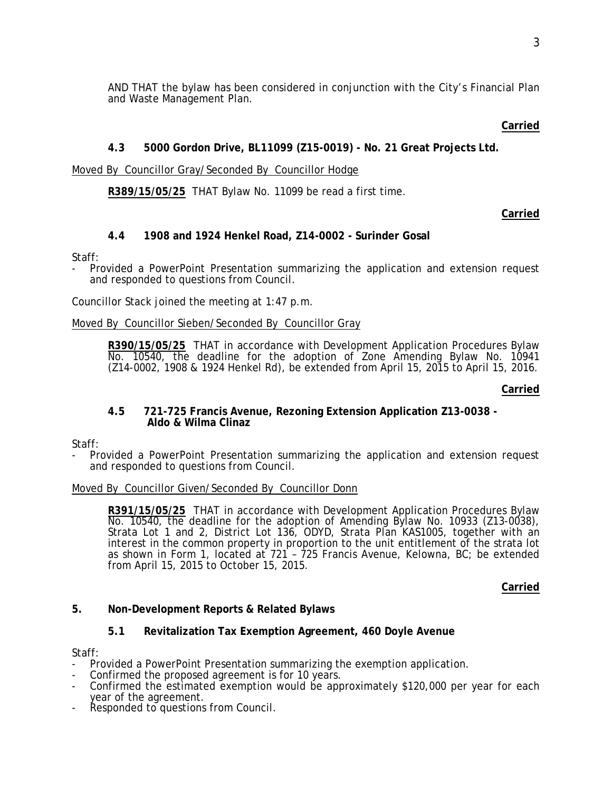AND THAT the bylaw has been considered in conjunction with the City's Financial Plan and Waste Management Plan.

## **Carried**

# **4.3 5000 Gordon Drive, BL11099 (Z15-0019) - No. 21 Great Projects Ltd.**

# Moved By Councillor Gray/Seconded By Councillor Hodge

# **R389/15/05/25** THAT Bylaw No. 11099 be read a first time.

# **Carried**

# **4.4 1908 and 1924 Henkel Road, Z14-0002 - Surinder Gosal**

### Staff:

Provided a PowerPoint Presentation summarizing the application and extension request and responded to questions from Council.

Councillor Stack joined the meeting at 1:47 p.m.

### Moved By Councillor Sieben/Seconded By Councillor Gray

R390/15/05/25 THAT in accordance with Development Application Procedures Bylaw<br>No. 10540, the deadline for the adoption of Zone Amending Bylaw No. 10941 (Z14-0002, 1908 & 1924 Henkel Rd), be extended from April 15, 2015 to April 15, 2016.

#### **Carried**

### **4.5 721-725 Francis Avenue, Rezoning Extension Application Z13-0038 - Aldo & Wilma Clinaz**

Staff:

- Provided a PowerPoint Presentation summarizing the application and extension request and responded to questions from Council.

### Moved By Councillor Given/Seconded By Councillor Donn

**R391/15/05/25** THAT in accordance with Development Application Procedures Bylaw No. 10540, the deadline for the adoption of Amending Bylaw No. 10933 (Z13-0038), Strata Lot 1 and 2, District Lot 136, ODYD, Strata Plan KAS1005, together with an interest in the common property in proportion to the unit entitlement of the strata lot as shown in Form 1, located at 721 – 725 Francis Avenue, Kelowna, BC; be extended from April 15, 2015 to October 15, 2015.

### **Carried**

# **5. Non-Development Reports & Related Bylaws**

# **5.1 Revitalization Tax Exemption Agreement, 460 Doyle Avenue**

Staff:

- Provided a PowerPoint Presentation summarizing the exemption application.
- Confirmed the proposed agreement is for 10 years.
- Confirmed the estimated exemption would be approximately \$120,000 per year for each year of the agreement.
- Responded to questions from Council.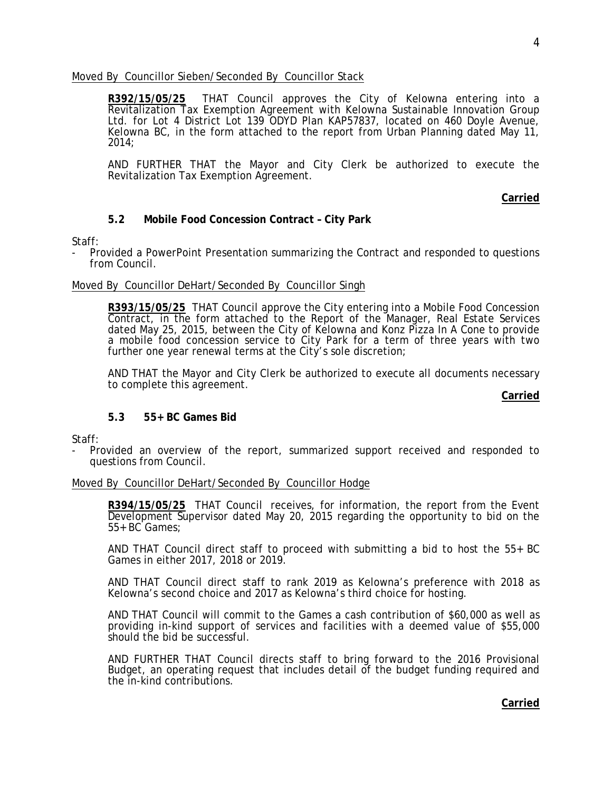Moved By Councillor Sieben/Seconded By Councillor Stack

**R392/15/05/25** THAT Council approves the City of Kelowna entering into a Revitalization Tax Exemption Agreement with Kelowna Sustainable Innovation Group Ltd. for Lot 4 District Lot 139 ODYD Plan KAP57837, located on 460 Doyle Avenue, Kelowna BC, in the form attached to the report from Urban Planning dated May 11, 2014;

AND FURTHER THAT the Mayor and City Clerk be authorized to execute the Revitalization Tax Exemption Agreement.

**Carried**

### **5.2 Mobile Food Concession Contract – City Park**

Staff:

- Provided a PowerPoint Presentation summarizing the Contract and responded to questions from Council.

#### Moved By Councillor DeHart/Seconded By Councillor Singh

**R393/15/05/25** THAT Council approve the City entering into a Mobile Food Concession Contract, in the form attached to the Report of the Manager, Real Estate Services dated May 25, 2015, between the City of Kelowna and Konz Pizza In A Cone to provide a mobile food concession service to City Park for a term of three years with two further one year renewal terms at the City's sole discretion;

AND THAT the Mayor and City Clerk be authorized to execute all documents necessary to complete this agreement.

**Carried**

### **5.3 55+ BC Games Bid**

Staff:

- Provided an overview of the report, summarized support received and responded to questions from Council.

### Moved By Councillor DeHart/Seconded By Councillor Hodge

**R394/15/05/25** THAT Council receives, for information, the report from the Event Development Supervisor dated May 20, 2015 regarding the opportunity to bid on the 55+ BC Games;

AND THAT Council direct staff to proceed with submitting a bid to host the 55+ BC Games in either 2017, 2018 or 2019.

AND THAT Council direct staff to rank 2019 as Kelowna's preference with 2018 as Kelowna's second choice and 2017 as Kelowna's third choice for hosting.

AND THAT Council will commit to the Games a cash contribution of \$60,000 as well as providing in-kind support of services and facilities with a deemed value of \$55,000 should the bid be successful.

AND FURTHER THAT Council directs staff to bring forward to the 2016 Provisional Budget, an operating request that includes detail of the budget funding required and the in-kind contributions.

### **Carried**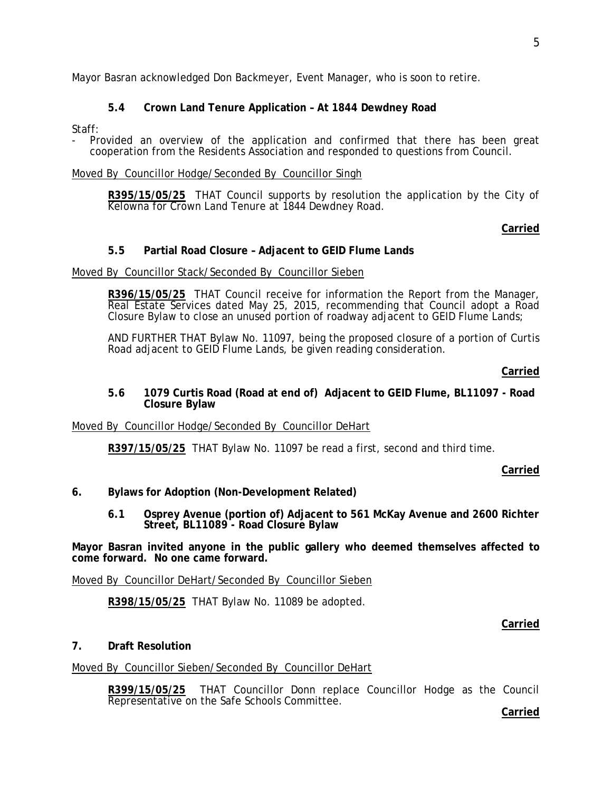Mayor Basran acknowledged Don Backmeyer, Event Manager, who is soon to retire.

# **5.4 Crown Land Tenure Application – At 1844 Dewdney Road**

Staff:

- Provided an overview of the application and confirmed that there has been great cooperation from the Residents Association and responded to questions from Council.

#### Moved By Councillor Hodge/Seconded By Councillor Singh

**R395/15/05/25** THAT Council supports by resolution the application by the City of Kelowna for Crown Land Tenure at 1844 Dewdney Road.

### **Carried**

### **5.5 Partial Road Closure – Adjacent to GEID Flume Lands**

#### Moved By Councillor Stack/Seconded By Councillor Sieben

**R396/15/05/25** THAT Council receive for information the Report from the Manager, Real Estate Services dated May 25, 2015, recommending that Council adopt a Road Closure Bylaw to close an unused portion of roadway adjacent to GEID Flume Lands;

AND FURTHER THAT Bylaw No. 11097, being the proposed closure of a portion of Curtis Road adjacent to GEID Flume Lands, be given reading consideration.

#### **Carried**

#### **5.6 1079 Curtis Road (Road at end of) Adjacent to GEID Flume, BL11097 - Road Closure Bylaw**

#### Moved By Councillor Hodge/Seconded By Councillor DeHart

**R397/15/05/25** THAT Bylaw No. 11097 be read a first, second and third time.

#### **Carried**

### **6. Bylaws for Adoption (Non-Development Related)**

**6.1 Osprey Avenue (portion of) Adjacent to 561 McKay Avenue and 2600 Richter Street, BL11089 - Road Closure Bylaw**

**Mayor Basran invited anyone in the public gallery who deemed themselves affected to come forward. No one came forward.**

Moved By Councillor DeHart/Seconded By Councillor Sieben

**R398/15/05/25** THAT Bylaw No. 11089 be adopted.

#### **Carried**

### **7. Draft Resolution**

### Moved By Councillor Sieben/Seconded By Councillor DeHart

**R399/15/05/25** THAT Councillor Donn replace Councillor Hodge as the Council Representative on the Safe Schools Committee.

5

**Carried**